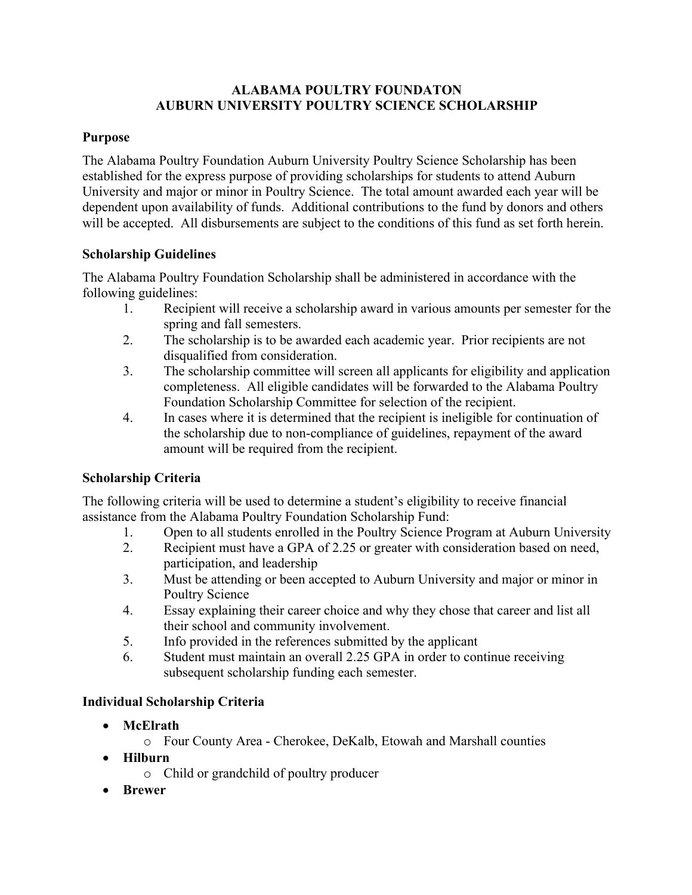# **ALABAMA POULTRY FOUNDATON AUBURN UNIVERSITY POULTRY SCIENCE SCHOLARSHIP**

# **Purpose**

The Alabama Poultry Foundation Auburn University Poultry Science Scholarship has been established for the express purpose of providing scholarships for students to attend Auburn University and major or minor in Poultry Science. The total amount awarded each year will be dependent upon availability of funds. Additional contributions to the fund by donors and others will be accepted. All disbursements are subject to the conditions of this fund as set forth herein.

# **Scholarship Guidelines**

The Alabama Poultry Foundation Scholarship shall be administered in accordance with the following guidelines:

- 1. Recipient will receive a scholarship award in various amounts per semester for the spring and fall semesters.
- 2. The scholarship is to be awarded each academic year. Prior recipients are not disqualified from consideration.
- 3. The scholarship committee will screen all applicants for eligibility and application completeness. All eligible candidates will be forwarded to the Alabama Poultry Foundation Scholarship Committee for selection of the recipient.
- 4. In cases where it is determined that the recipient is ineligible for continuation of the scholarship due to non-compliance of guidelines, repayment of the award amount will be required from the recipient.

# **Scholarship Criteria**

The following criteria will be used to determine a student's eligibility to receive financial assistance from the Alabama Poultry Foundation Scholarship Fund:

- 1. Open to all students enrolled in the Poultry Science Program at Auburn University
- 2. Recipient must have a GPA of 2.25 or greater with consideration based on need, participation, and leadership
- 3. Must be attending or been accepted to Auburn University and major or minor in Poultry Science
- 4. Essay explaining their career choice and why they chose that career and list all their school and community involvement.
- 5. Info provided in the references submitted by the applicant
- 6. Student must maintain an overall 2.25 GPA in order to continue receiving subsequent scholarship funding each semester.

# **Individual Scholarship Criteria**

- **McElrath**
	- o Four County Area Cherokee, DeKalb, Etowah and Marshall counties
- **Hilburn**
	- o Child or grandchild of poultry producer
- **Brewer**